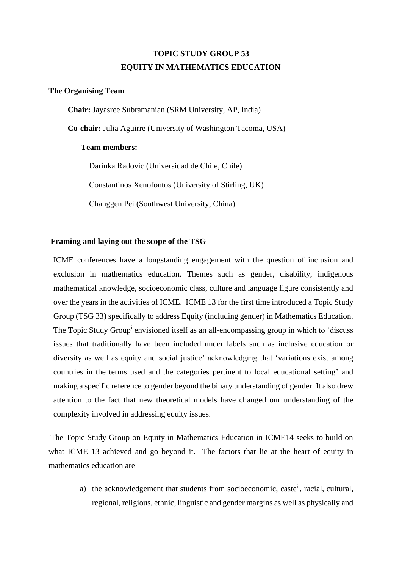# **TOPIC STUDY GROUP 53 EQUITY IN MATHEMATICS EDUCATION**

#### **The Organising Team**

**Chair:** Jayasree Subramanian (SRM University, AP, India)

**Co-chair:** Julia Aguirre (University of Washington Tacoma, USA)

## **Team members:**

Darinka Radovic (Universidad de Chile, Chile) Constantinos Xenofontos (University of Stirling, UK) Changgen Pei (Southwest University, China)

## **Framing and laying out the scope of the TSG**

ICME conferences have a longstanding engagement with the question of inclusion and exclusion in mathematics education. Themes such as gender, disability, indigenous mathematical knowledge, socioeconomic class, culture and language figure consistently and over the years in the activities of ICME. ICME 13 for the first time introduced a Topic Study Group (TSG 33) specifically to address Equity (including gender) in Mathematics Education. The Topic Study Group<sup>i</sup> envisioned itself as an all-encompassing group in which to 'discuss issues that traditionally have been included under labels such as inclusive education or diversity as well as equity and social justice' acknowledging that 'variations exist among countries in the terms used and the categories pertinent to local educational setting' and making a specific reference to gender beyond the binary understanding of gender. It also drew attention to the fact that new theoretical models have changed our understanding of the complexity involved in addressing equity issues.

The Topic Study Group on Equity in Mathematics Education in ICME14 seeks to build on what ICME 13 achieved and go beyond it. The factors that lie at the heart of equity in mathematics education are

> a) the acknowledgement that students from socioeconomic, caste<sup>ii</sup>, racial, cultural, regional, religious, ethnic, linguistic and gender margins as well as physically and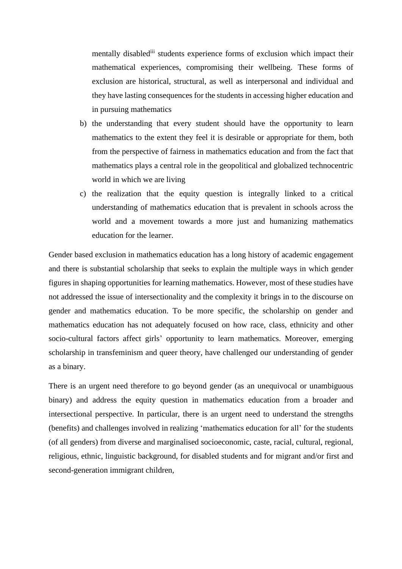mentally disablediii students experience forms of exclusion which impact their mathematical experiences, compromising their wellbeing. These forms of exclusion are historical, structural, as well as interpersonal and individual and they have lasting consequences for the students in accessing higher education and in pursuing mathematics

- b) the understanding that every student should have the opportunity to learn mathematics to the extent they feel it is desirable or appropriate for them, both from the perspective of fairness in mathematics education and from the fact that mathematics plays a central role in the geopolitical and globalized technocentric world in which we are living
- c) the realization that the equity question is integrally linked to a critical understanding of mathematics education that is prevalent in schools across the world and a movement towards a more just and humanizing mathematics education for the learner.

Gender based exclusion in mathematics education has a long history of academic engagement and there is substantial scholarship that seeks to explain the multiple ways in which gender figures in shaping opportunities for learning mathematics. However, most of these studies have not addressed the issue of intersectionality and the complexity it brings in to the discourse on gender and mathematics education. To be more specific, the scholarship on gender and mathematics education has not adequately focused on how race, class, ethnicity and other socio-cultural factors affect girls' opportunity to learn mathematics. Moreover, emerging scholarship in transfeminism and queer theory, have challenged our understanding of gender as a binary.

There is an urgent need therefore to go beyond gender (as an unequivocal or unambiguous binary) and address the equity question in mathematics education from a broader and intersectional perspective. In particular, there is an urgent need to understand the strengths (benefits) and challenges involved in realizing 'mathematics education for all' for the students (of all genders) from diverse and marginalised socioeconomic, caste, racial, cultural, regional, religious, ethnic, linguistic background, for disabled students and for migrant and/or first and second-generation immigrant children,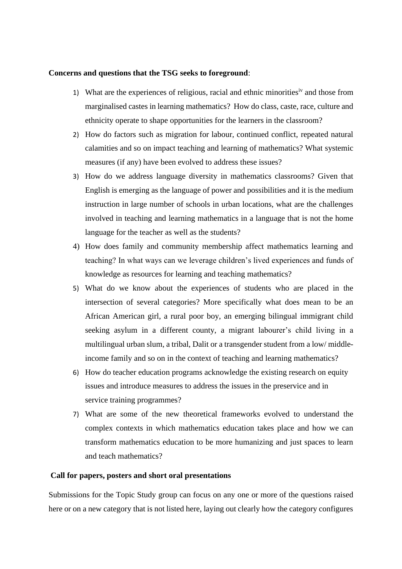#### **Concerns and questions that the TSG seeks to foreground**:

- 1) What are the experiences of religious, racial and ethnic minorities<sup>iv</sup> and those from marginalised castes in learning mathematics? How do class, caste, race, culture and ethnicity operate to shape opportunities for the learners in the classroom?
- 2) How do factors such as migration for labour, continued conflict, repeated natural calamities and so on impact teaching and learning of mathematics? What systemic measures (if any) have been evolved to address these issues?
- 3) How do we address language diversity in mathematics classrooms? Given that English is emerging as the language of power and possibilities and it is the medium instruction in large number of schools in urban locations, what are the challenges involved in teaching and learning mathematics in a language that is not the home language for the teacher as well as the students?
- 4) How does family and community membership affect mathematics learning and teaching? In what ways can we leverage children's lived experiences and funds of knowledge as resources for learning and teaching mathematics?
- 5) What do we know about the experiences of students who are placed in the intersection of several categories? More specifically what does mean to be an African American girl, a rural poor boy, an emerging bilingual immigrant child seeking asylum in a different county, a migrant labourer's child living in a multilingual urban slum, a tribal, Dalit or a transgender student from a low/ middleincome family and so on in the context of teaching and learning mathematics?
- 6) How do teacher education programs acknowledge the existing research on equity issues and introduce measures to address the issues in the preservice and in service training programmes?
- 7) What are some of the new theoretical frameworks evolved to understand the complex contexts in which mathematics education takes place and how we can transform mathematics education to be more humanizing and just spaces to learn and teach mathematics?

## **Call for papers, posters and short oral presentations**

Submissions for the Topic Study group can focus on any one or more of the questions raised here or on a new category that is not listed here, laying out clearly how the category configures